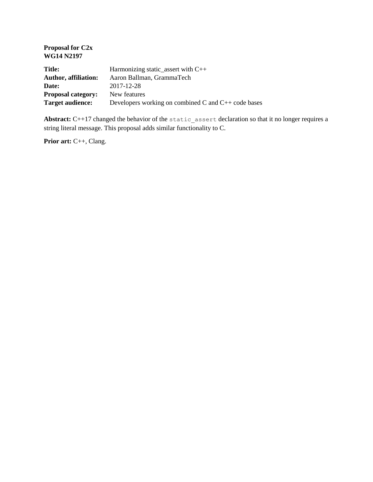| Harmonizing static_assert with $C++$                     |
|----------------------------------------------------------|
| Aaron Ballman, GrammaTech                                |
| 2017-12-28                                               |
| New features                                             |
| Developers working on combined C and $C_{++}$ code bases |
|                                                          |

Abstract: C++17 changed the behavior of the static assert declaration so that it no longer requires a string literal message. This proposal adds similar functionality to C.

**Prior art:** C++, Clang.